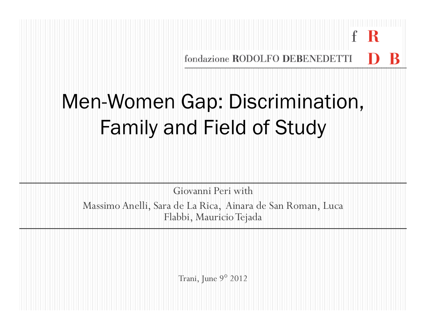fondazione RODOLFO DEBENEDETTI

 $\mathbf{f}$ 

-R

# Men-Women Gap: Discrimination, Family and Field of Study

Giovanni Peri withMassimo Anelli, Sara de La Rica, Ainara de San Roman, Luca Flabbi, Mauricio Tejada

Trani, June 9° <sup>2012</sup>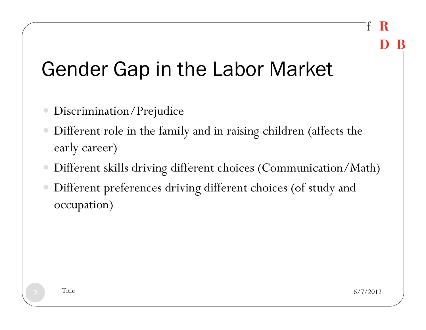# Gender Gap in the Labor Market

- Discrimination/Prejudice
- Different role in the family and in raising children (affects the early career)
- Different skills driving different choices (Communication/Math)
- Different preferences driving different choices (of study and occupation)

2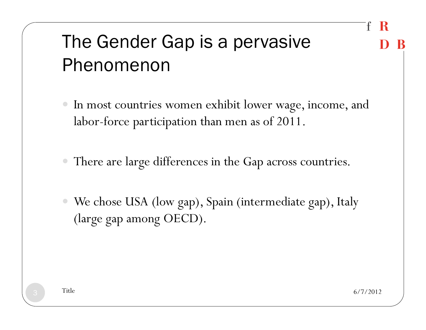### The Gender Gap is a pervasive Phenomenon

- In most countries women exhibit lower wage, income, and labor-force participation than men as of 2011.
- There are large differences in the Gap across countries.
- We chose USA (low gap), Spain (intermediate gap), Italy (large gap among OECD).

 $\frac{1}{3}$  Title 6/7/2012

£

- К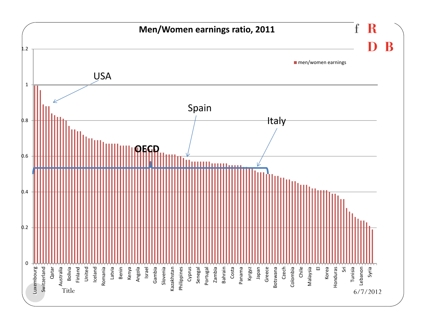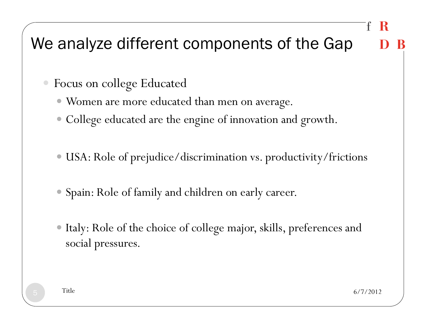### We analyze different components of the Gap

- Focus on college Educated
	- Women are more educated than men on average.
	- College educated are the engine of innovation and growth.
	- USA: Role of prejudice/discrimination vs. productivity/frictions
	- Spain: Role of family and children on early career.
	- Italy: Role of the choice of college major, skills, preferences and social pressures.

5

 $\frac{1}{5}$  Title 6/7/2012

K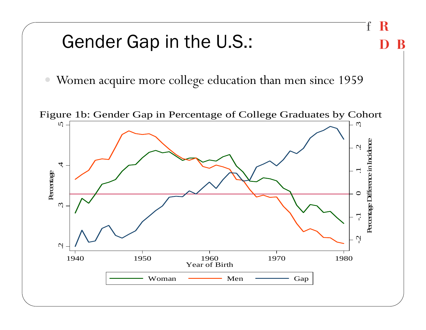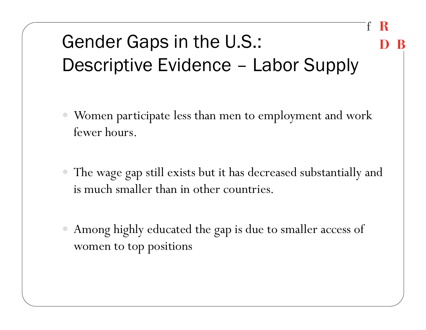# Gender Gaps in the U.S.: Descriptive Evidence – Labor Supply

- Women participate less than men to employment and work fewer hours.
- The wage gap still exists but it has decreased substantially and is much smaller than in other countries.
- Among highly educated the gap is due to smaller access of women to top positions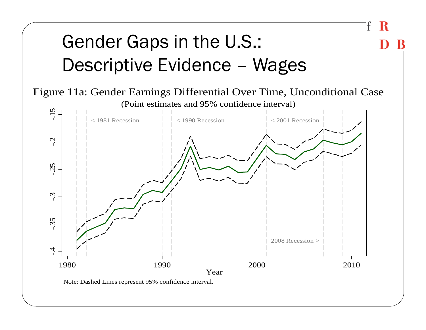# Gender Gaps in the U.S.: Descriptive Evidence – Wages

Figure 11a: Gender Earnings Differential Over Time, Unconditional Case

f

K

R



Note: Dashed Lines represent 95% confidence interval.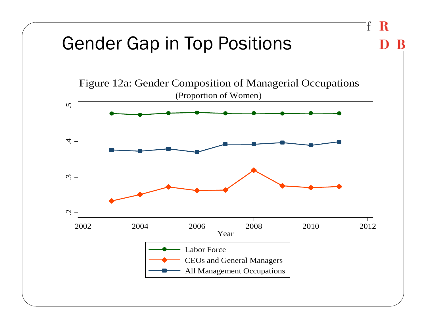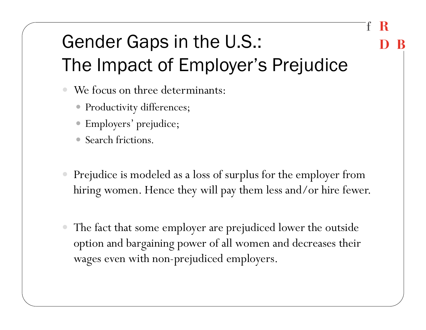### Gender Gaps in the U.S.: The Impact of Employer's Prejudice

- We focus on three determinants:
	- Productivity differences;
	- Employers' prejudice;
	- $\bullet$ Search frictions.
- Prejudice is modeled as a loss of surplus for the employer from hiring women. Hence they will pay them less and/or hire fewer.
- The fact that some employer are prejudiced lower the outside option and bargaining power of all women and decreases their wages even with non-prejudiced employers.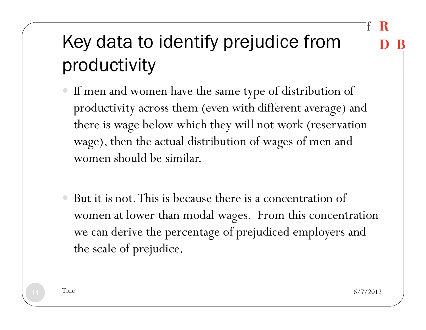# Key data to identify prejudice from productivity

- If men and women have the same type of distribution of productivity across them (even with different average) and there is wage below which they will not work (reservation wage), then the actual distribution of wages of men and women should be similar.
- But it is not. This is because there is a concentration of women at lower than modal wages. From this concentration we can derive the percentage of prejudiced employers and the scale of prejudice.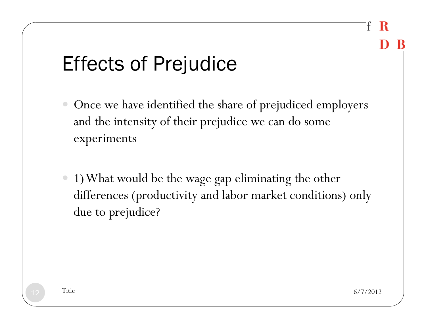# Effects of Prejudice

- Once we have identified the share of prejudiced employers and the intensity of their prejudice we can do some experiments
- 1) What would be the wage gap eliminating the other differences (productivity and labor market conditions) only due to prejudice?

 $\frac{2}{10}$  Title 6/7/2012

£

-К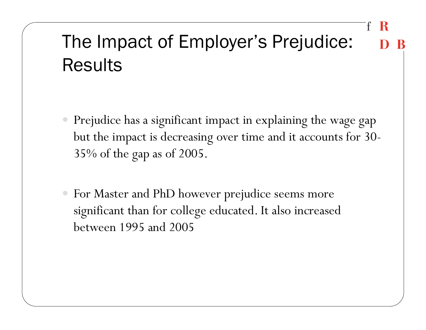## The Impact of Employer's Prejudice: Results

- $\bigcirc$  Prejudice has a significant impact in explaining the wage gap but the impact is decreasing over time and it accounts for 30- 35% of the gap as of 2005.
- For Master and PhD however prejudice seems more significant than for college educated. It also increased between 1995 and 2005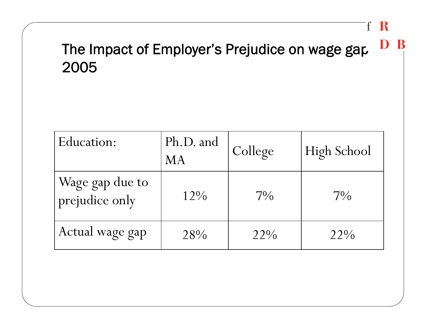#### The Impact of Employer's Prejudice on wage gap 2005

 $\mathbf f$ 

R

B

| Education:                        | Ph.D. and<br><b>MA</b> | College | High School |
|-----------------------------------|------------------------|---------|-------------|
| Wage gap due to<br>prejudice only | $12\%$                 | $7\%$   | $7\%$       |
| Actual wage gap                   | 28%                    | 22%     | $22\%$      |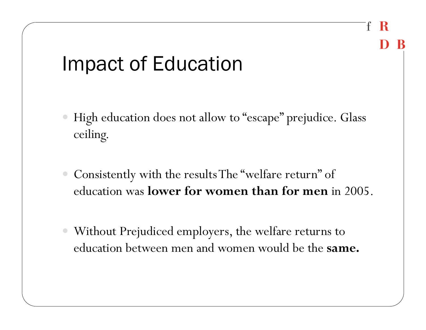# Impact of Education

 High education does not allow to "escape" prejudice. Glass ceiling.

£

- Consistently with the results The "welfare return" of education was **lower for women than for men** in 2005.
- Without Prejudiced employers, the welfare returns to education between men and women would be the **same.**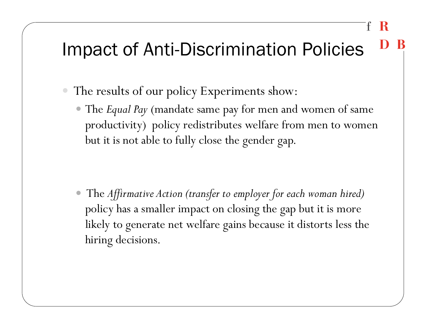### Impact of Anti-Discrimination Policies

- The results of our policy Experiments show:
	- The *Equal Pay* (mandate same pay for men and women of same productivity) policy redistributes welfare from men to women but it is not able to fully close the gender gap.

 $\bullet$  The *Affirmative Action (transfer to employer for each woman hired)*  policy has a smaller impact on closing the gap but it is more likely to generate net welfare gains because it distorts less the hiring decisions.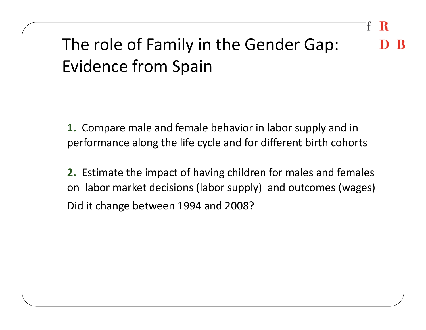### The role of Family in the Gender Gap: Evidence from Spain

**1.** Compare male and female behavior in labor supply and in performance along the life cycle and for different birth cohorts

**2.** Estimate the impact of having children for males and females on labor market decisions (labor supply) and outcomes (wages) Did it change between 1994 and 2008?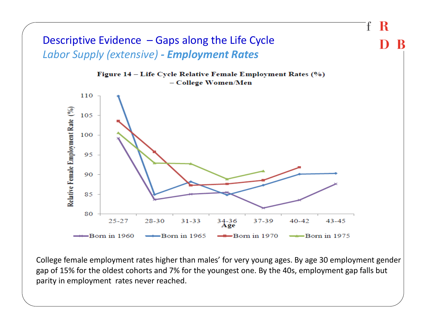

College female employment rates higher than males' for very young ages. By age 30 employment gender gap of 15% for the oldest cohorts and 7% for the youngest one. By the 40s, employment gap falls but parity in employment rates never reached.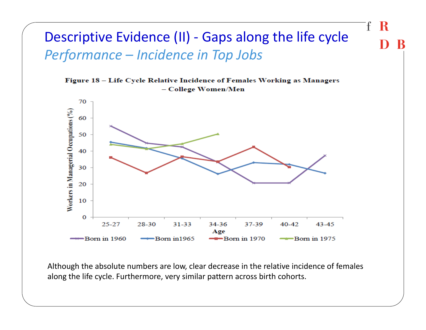#### Descriptive Evidence (II) - Gaps along the life cycle *Performance – Incidence in Top Jobs*





Although the absolute numbers are low, clear decrease in the relative incidence of females along the life cycle. Furthermore, very similar pattern across birth cohorts.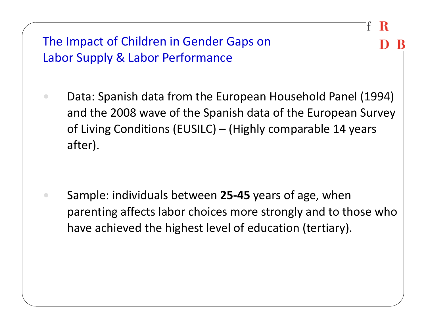The Impact of Children in Gender Gaps on Labor Supply & Labor Performance

 $\bigcirc$  Data: Spanish data from the European Household Panel (1994) and the 2008 wave of the Spanish data of the European Survey of Living Conditions (EUSILC) – (Highly comparable 14 years after).

 $\bigcirc$  Sample: individuals between **25-45** years of age, when parenting affects labor choices more strongly and to those who have achieved the highest level of education (tertiary).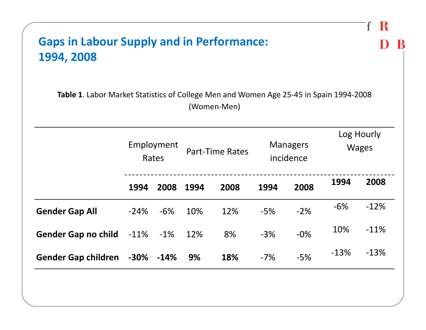| <b>Gaps in Labour Supply and in Performance:</b><br>1994, 2008                         |         |                     |      |                        |       |                              |        |                            |
|----------------------------------------------------------------------------------------|---------|---------------------|------|------------------------|-------|------------------------------|--------|----------------------------|
| Table 1. Labor Market Statistics of College Men and Women Age 25-45 in Spain 1994-2008 |         |                     |      | (Women-Men)            |       |                              |        |                            |
|                                                                                        |         | Employment<br>Rates |      | <b>Part-Time Rates</b> |       | <b>Managers</b><br>incidence |        | Log Hourly<br><b>Wages</b> |
|                                                                                        | 1994    | 2008                | 1994 | 2008                   | 1994  | 2008                         | 1994   | 2008                       |
| <b>Gender Gap All</b>                                                                  | $-24%$  | $-6%$               | 10%  | 12%                    | $-5%$ | $-2%$                        | $-6%$  | $-12%$                     |
| <b>Gender Gap no child</b>                                                             | $-11\%$ | $-1\%$              | 12%  | 8%                     | $-3%$ | $-0%$                        | 10%    | $-11%$                     |
| Gender Gap children -30%                                                               |         | $-14%$              | 9%   | 18%                    | $-7%$ | $-5%$                        | $-13%$ | $-13%$                     |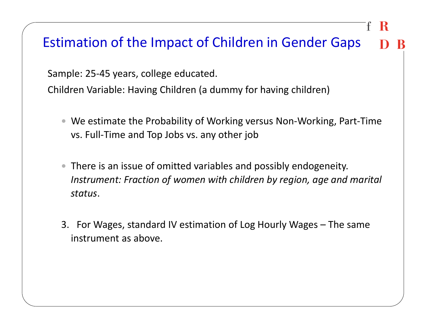#### Estimation of the Impact of Children in Gender Gaps

Sample: 25-45 years, college educated.

Children Variable: Having Children (a dummy for having children)

- We estimate the Probability of Working versus Non-Working, Part-Time vs. Full-Time and Top Jobs vs. any other job
- There is an issue of omitted variables and possibly endogeneity. *Instrument: Fraction of women with children by region, age and marital status*.
- 3. For Wages, standard IV estimation of Log Hourly Wages The same instrument as above.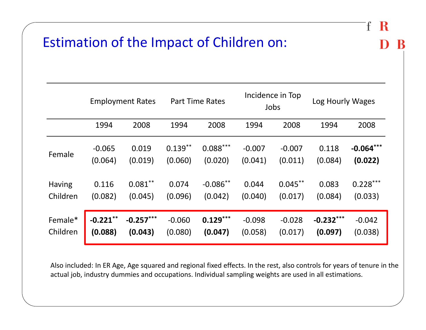#### Estimation of the Impact of Children on:

|               |             | <b>Employment Rates</b> |           | <b>Part Time Rates</b> |          | Incidence in Top<br>Jobs | Log Hourly Wages |             |
|---------------|-------------|-------------------------|-----------|------------------------|----------|--------------------------|------------------|-------------|
|               | 1994        | 2008                    | 1994      | 2008                   | 1994     | 2008                     | 1994             | 2008        |
| Female        | $-0.065$    | 0.019                   | $0.139**$ | $0.088***$             | $-0.007$ | $-0.007$                 | 0.118            | $-0.064***$ |
|               | (0.064)     | (0.019)                 | (0.060)   | (0.020)                | (0.041)  | (0.011)                  | (0.084)          | (0.022)     |
| <b>Having</b> | 0.116       | $0.081***$              | 0.074     | $-0.086**$             | 0.044    | $0.045**$                | 0.083            | $0.228***$  |
| Children      | (0.082)     | (0.045)                 | (0.096)   | (0.042)                | (0.040)  | (0.017)                  | (0.084)          | (0.033)     |
| Female*       | $-0.221$ ** | $-0.257***$             | $-0.060$  | $0.129***$             | $-0.098$ | $-0.028$                 | $-0.232***$      | $-0.042$    |
| Children      | (0.088)     | (0.043)                 | (0.080)   | (0.047)                | (0.058)  | (0.017)                  | (0.097)          | (0.038)     |

Ŧ

- R

Also included: In ER Age, Age squared and regional fixed effects. In the rest, also controls for years of tenure in the actual job, industry dummies and occupations. Individual sampling weights are used in all estimations.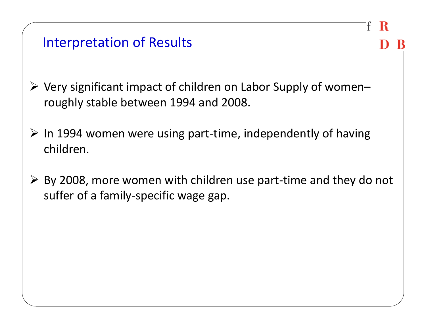| <b>Interpretation of Results</b> |  |  |
|----------------------------------|--|--|
|----------------------------------|--|--|

 $\triangleright$  Very significant impact of children on Labor Supply of womenroughly stable between 1994 and 2008.

£

- $\triangleright$  In 1994 women were using part-time, independently of having children.
- $\triangleright$  By 2008, more women with children use part-time and they do not suffer of a family-specific wage gap.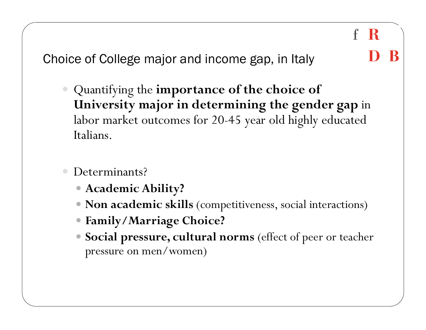Choice of College major and income gap, in Italy

 Quantifying the **importance of the choice of University major in determining the gender gap** in labor market outcomes for 20-45 year old highly educated Italians.

 $\mathbf{f}$ 

- R

- Determinants?
	- **Academic Ability?**
	- **Non academic skills** (competitiveness, social interactions)
	- **Family/Marriage Choice?**
	- **Social pressure, cultural norms** (effect of peer or teacher pressure on men/women)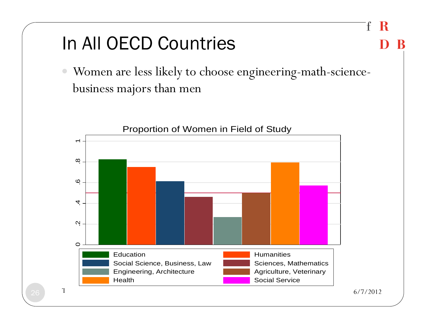### In All OECD Countries

 $\bullet$  Women are less likely to choose engineering-math-sciencebusiness majors than men

 $\mathbf{f}$ 

R



26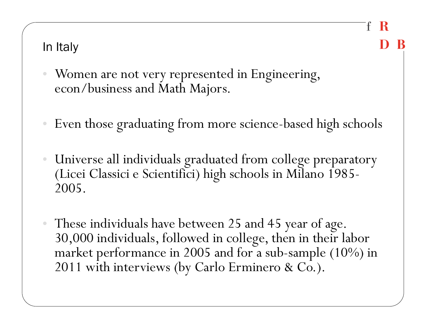#### In Italy

- Women are not very represented in Engineering, econ/business and Math Majors.
- Even those graduating from more science-based high schools

£

- К

- $\bullet$  Universe all individuals graduated from college preparatory (Licei Classici e Scientifici) high schools in Milano 1985- 2005.
- • These individuals have between 25 and 45 year of age. 30,000 individuals, followed in college, then in their labor market performance in 2005 and for a sub-sample (10%) in 2011 with interviews (by Carlo Erminero & Co.).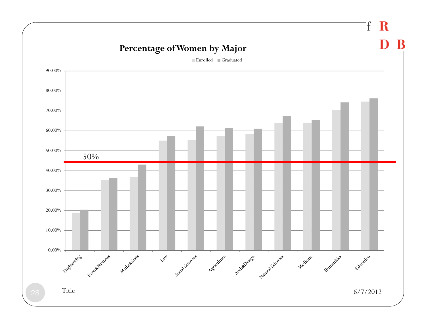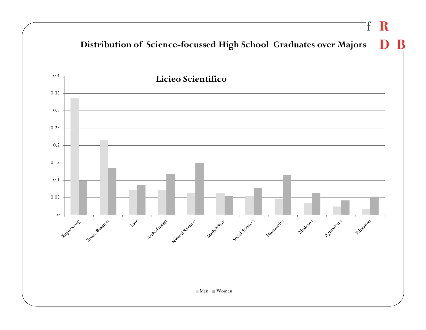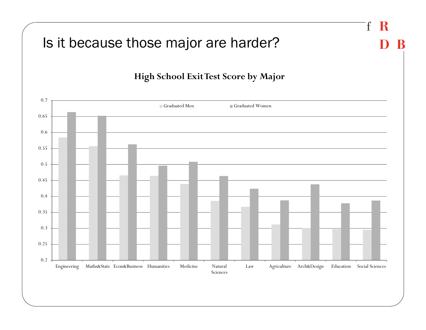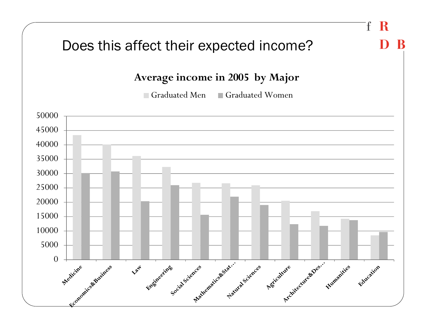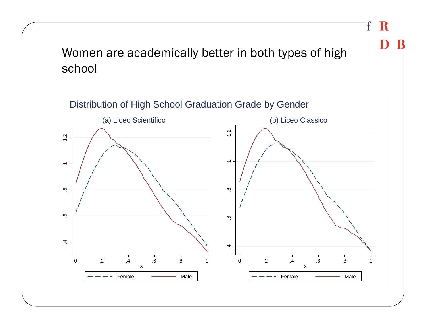#### Women are academically better in both types of high school

 $\mathbf{f}$ 

 $\bf R$ 

K

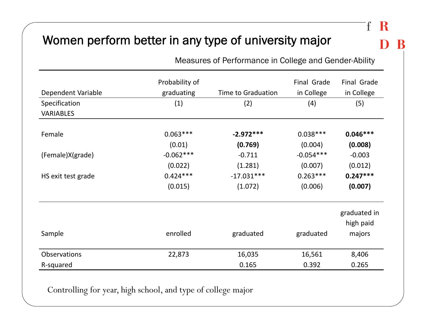#### Women perform better in any type of university major

Measures of Performance in College and Gender-Ability

|                    | Probability of |                           | Final Grade | Final Grade               |
|--------------------|----------------|---------------------------|-------------|---------------------------|
| Dependent Variable | graduating     | <b>Time to Graduation</b> | in College  | in College                |
| Specification      | (1)            | (2)                       | (4)         | (5)                       |
| <b>VARIABLES</b>   |                |                           |             |                           |
| Female             | $0.063***$     | $-2.972***$               | $0.038***$  | $0.046***$                |
|                    | (0.01)         | (0.769)                   | (0.004)     | (0.008)                   |
| (Female)X(grade)   | $-0.062***$    | $-0.711$                  | $-0.054***$ | $-0.003$                  |
|                    | (0.022)        | (1.281)                   | (0.007)     | (0.012)                   |
| HS exit test grade | $0.424***$     | $-17.031***$              | $0.263***$  | $0.247***$                |
|                    | (0.015)        | (1.072)                   | (0.006)     | (0.007)                   |
|                    |                |                           |             | graduated in<br>high paid |
| Sample             | enrolled       | graduated                 | graduated   | majors                    |
| Observations       | 22,873         | 16,035                    | 16,561      | 8,406                     |
| R-squared          |                | 0.165                     | 0.392       | 0.265                     |

Controlling for year, high school, and type of college major

#### f K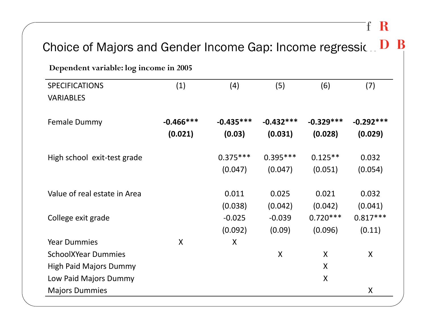#### $f R$

| Dependent variable: log income in 2005 |                           |             |             |             |             |
|----------------------------------------|---------------------------|-------------|-------------|-------------|-------------|
| <b>SPECIFICATIONS</b>                  | (1)                       | (4)         | (5)         | (6)         | (7)         |
| <b>VARIABLES</b>                       |                           |             |             |             |             |
| Female Dummy                           | $-0.466***$               | $-0.435***$ | $-0.432***$ | $-0.329***$ | $-0.292***$ |
|                                        | (0.021)                   | (0.03)      | (0.031)     | (0.028)     | (0.029)     |
| High school exit-test grade            |                           | $0.375***$  | $0.395***$  | $0.125**$   | 0.032       |
|                                        |                           | (0.047)     | (0.047)     | (0.051)     | (0.054)     |
| Value of real estate in Area           |                           | 0.011       | 0.025       | 0.021       | 0.032       |
|                                        |                           | (0.038)     | (0.042)     | (0.042)     | (0.041)     |
| College exit grade                     |                           | $-0.025$    | $-0.039$    | $0.720***$  | $0.817***$  |
|                                        |                           | (0.092)     | (0.09)      | (0.096)     | (0.11)      |
| <b>Year Dummies</b>                    | $\boldsymbol{\mathsf{X}}$ | $\sf X$     |             |             |             |
| <b>SchoolXYear Dummies</b>             |                           |             | X           | X           | X           |
| <b>High Paid Majors Dummy</b>          |                           |             |             | X           |             |
| Low Paid Majors Dummy                  |                           |             |             | $\sf X$     |             |
| <b>Majors Dummies</b>                  |                           |             |             |             | X           |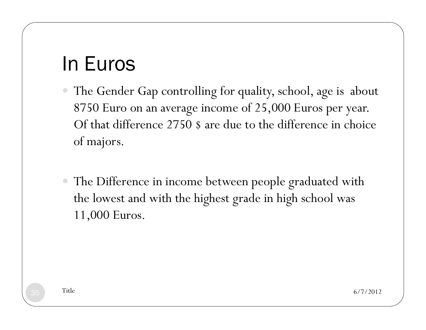### In Euros

- The Gender Gap controlling for quality, school, age is about 8750 Euro on an average income of 25,000 Euros per year. Of that difference 2750 \$ are due to the difference in choice of majors.
- The Difference in income between people graduated with the lowest and with the highest grade in high school was 11,000 Euros.

 $\frac{1}{5}$  Title 6/7/2012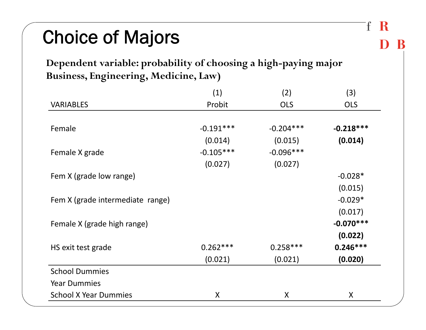### Choice of Majors

#### **Dependent variable: probability of choosing a high-paying major Business, Engineering, Medicine, Law)**

|                                  | (1)         | (2)         | (3)         |
|----------------------------------|-------------|-------------|-------------|
| <b>VARIABLES</b>                 | Probit      | <b>OLS</b>  | <b>OLS</b>  |
|                                  |             |             |             |
| Female                           | $-0.191***$ | $-0.204***$ | $-0.218***$ |
|                                  | (0.014)     | (0.015)     | (0.014)     |
| Female X grade                   | $-0.105***$ | $-0.096***$ |             |
|                                  | (0.027)     | (0.027)     |             |
| Fem X (grade low range)          |             |             | $-0.028*$   |
|                                  |             |             | (0.015)     |
| Fem X (grade intermediate range) |             |             | $-0.029*$   |
|                                  |             |             | (0.017)     |
| Female X (grade high range)      |             |             | $-0.070***$ |
|                                  |             |             | (0.022)     |
| HS exit test grade               | $0.262***$  | $0.258***$  | $0.246***$  |
|                                  | (0.021)     | (0.021)     | (0.020)     |
| <b>School Dummies</b>            |             |             |             |
| <b>Year Dummies</b>              |             |             |             |
| <b>School X Year Dummies</b>     | X           | X           | X           |

R

 $\mathbf{f}$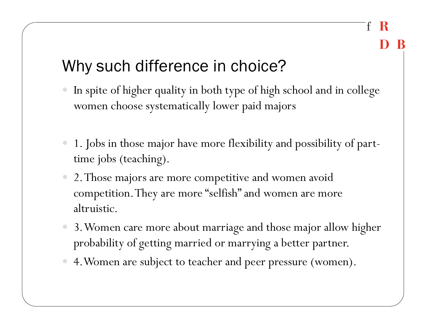£

### Why such difference in choice?

- In spite of higher quality in both type of high school and in college women choose systematically lower paid majors
- 1. Jobs in those major have more flexibility and possibility of parttime jobs (teaching).
- 2. Those majors are more competitive and women avoid competition. They are more "selfish" and women are more altruistic.
- 3. Women care more about marriage and those major allow higher probability of getting married or marrying a better partner.
- 4.Women are subject to teacher and peer pressure (women).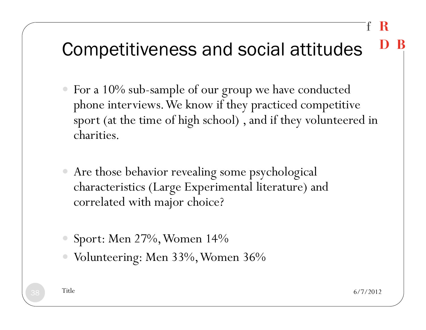## Competitiveness and social attitudes

- For a 10% sub-sample of our group we have conducted <sup>p</sup>hone interviews. We know if they practiced competitive sport (at the time of high school) , and if they volunteered in charities.
- Are those behavior revealing some psychological characteristics (Large Experimental literature) and correlated with major choice?
- Sport: Men 27%, Women 14%
- Volunteering: Men 33%, Women 36%

 $8\text{ m}$  Title 6/7/2012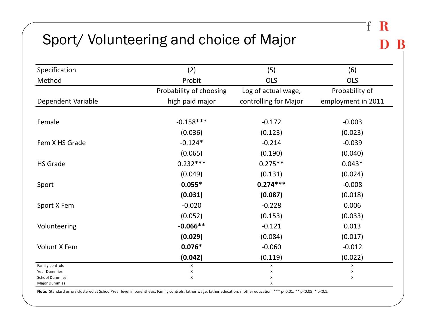#### Sport/ Volunteering and choice of Major

| Specification                                 | (2)                     | (5)                   | (6)                |
|-----------------------------------------------|-------------------------|-----------------------|--------------------|
| Method                                        | Probit                  | <b>OLS</b>            | <b>OLS</b>         |
|                                               | Probability of choosing | Log of actual wage,   | Probability of     |
| Dependent Variable                            | high paid major         | controlling for Major | employment in 2011 |
|                                               |                         |                       |                    |
| Female                                        | $-0.158***$             | $-0.172$              | $-0.003$           |
|                                               | (0.036)                 | (0.123)               | (0.023)            |
| Fem X HS Grade                                | $-0.124*$               | $-0.214$              | $-0.039$           |
|                                               | (0.065)                 | (0.190)               | (0.040)            |
| <b>HS Grade</b>                               | $0.232***$              | $0.275**$             | $0.043*$           |
|                                               | (0.049)                 | (0.131)               | (0.024)            |
| Sport                                         | $0.055*$                | $0.274***$            | $-0.008$           |
|                                               | (0.031)                 | (0.087)               | (0.018)            |
| Sport X Fem                                   | $-0.020$                | $-0.228$              | 0.006              |
|                                               | (0.052)                 | (0.153)               | (0.033)            |
| Volunteering                                  | $-0.066**$              | $-0.121$              | 0.013              |
|                                               | (0.029)                 | (0.084)               | (0.017)            |
| Volunt X Fem                                  | $0.076*$                | $-0.060$              | $-0.012$           |
|                                               | (0.042)                 | (0.119)               | (0.022)            |
| Family controls<br><b>Year Dummies</b>        | X<br>X                  | х<br>X                | X<br>X             |
| <b>School Dummies</b><br><b>Major Dummies</b> | X                       | X<br>X                | X                  |

Note: Standard errors clustered at School/Year level in parenthesis. Family controls: father wage, father education, mother education. \*\*\* p<0.01, \*\* p<0.05, \* p<0.1.

 $\mathbf{f}$ R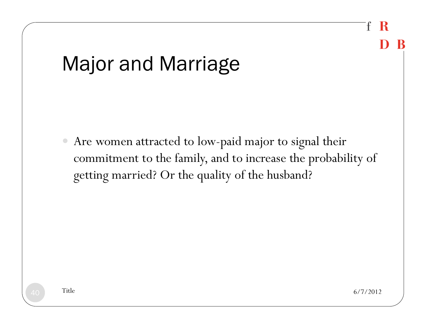### Ŧ -К

# Major and Marriage

 $\bullet$  Are women attracted to low-paid major to signal their commitment to the family, and to increase the probability of getting married? Or the quality of the husband?

 $\sigma$  Title 6/7/2012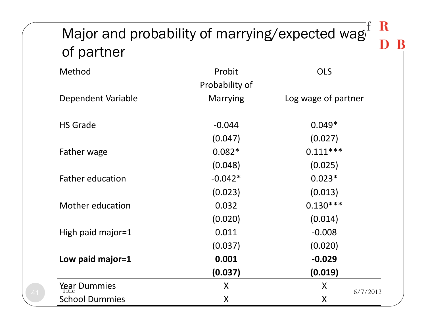### Major and probability of marrying/expected wager  $\frac{R}{R}$ of partner

| Method                  | Probit          | <b>OLS</b>          |
|-------------------------|-----------------|---------------------|
|                         | Probability of  |                     |
| Dependent Variable      | <b>Marrying</b> | Log wage of partner |
|                         |                 |                     |
| <b>HS Grade</b>         | $-0.044$        | $0.049*$            |
|                         | (0.047)         | (0.027)             |
| Father wage             | $0.082*$        | $0.111***$          |
|                         | (0.048)         | (0.025)             |
| <b>Father education</b> | $-0.042*$       | $0.023*$            |
|                         | (0.023)         | (0.013)             |
| Mother education        | 0.032           | $0.130***$          |
|                         | (0.020)         | (0.014)             |
| High paid major= $1$    | 0.011           | $-0.008$            |
|                         | (0.037)         | (0.020)             |
| Low paid major=1        | 0.001           | $-0.029$            |
|                         | (0.037)         | (0.019)             |
| Year Dummies            | X               | X<br>6/7/2012       |
| <b>School Dummies</b>   | $\sf X$         | X                   |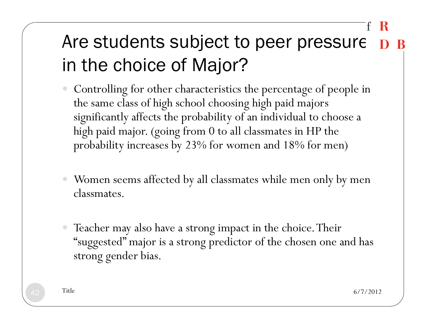### Are students subject to peer pressure D B in the choice of Major?

- Controlling for other characteristics the percentage of people in the same class of high school choosing high paid majors significantly affects the probability of an individual to choose a high paid major. (going from 0 to all classmates in HP the probability increases by 23% for women and 18% for men)
- Women seems affected by all classmates while men only by men classmates.
- Teacher may also have a strong impact in the choice. Their "suggested" major is a strong predictor of the chosen one and has strong gender bias.

 $\frac{2}{10}$  Title 6/7/2012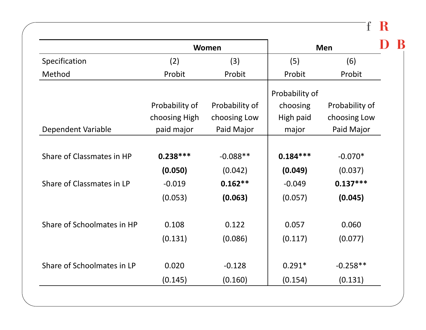$f R$ 

|                            |                | Women          |                | <b>Men</b>     |
|----------------------------|----------------|----------------|----------------|----------------|
| Specification              | (2)            | (3)            | (5)            | (6)            |
| Method                     | Probit         | Probit         | Probit         | Probit         |
|                            |                |                | Probability of |                |
|                            | Probability of | Probability of | choosing       | Probability of |
|                            | choosing High  | choosing Low   | High paid      | choosing Low   |
| Dependent Variable         | paid major     | Paid Major     | major          | Paid Major     |
|                            |                |                |                |                |
| Share of Classmates in HP  | $0.238***$     | $-0.088**$     | $0.184***$     | $-0.070*$      |
|                            | (0.050)        | (0.042)        | (0.049)        | (0.037)        |
| Share of Classmates in LP  | $-0.019$       | $0.162**$      | $-0.049$       | $0.137***$     |
|                            | (0.053)        | (0.063)        | (0.057)        | (0.045)        |
|                            |                |                |                |                |
| Share of Schoolmates in HP | 0.108          | 0.122          | 0.057          | 0.060          |
|                            | (0.131)        | (0.086)        | (0.117)        | (0.077)        |
|                            |                |                |                |                |
| Share of Schoolmates in LP | 0.020          | $-0.128$       | $0.291*$       | $-0.258**$     |
|                            | (0.145)        | (0.160)        | (0.154)        | (0.131)        |